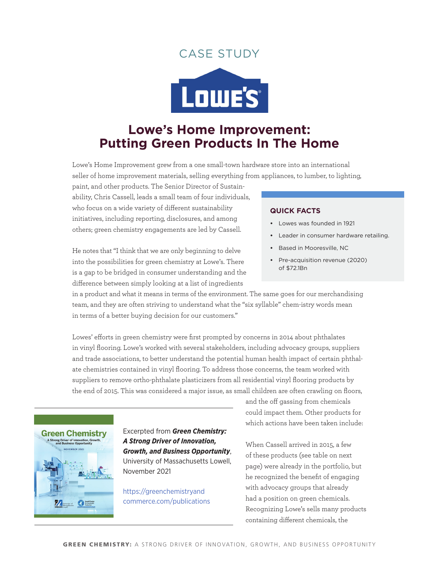## case studY



# **Lowe's Home Improvement: Putting Green Products In The Home**

Lowe's Home Improvement grew from a one small-town hardware store into an international seller of home improvement materials, selling everything from appliances, to lumber, to lighting,

paint, and other products. The Senior Director of Sustainability, Chris Cassell, leads a small team of four individuals, who focus on a wide variety of different sustainability initiatives, including reporting, disclosures, and among others; green chemistry engagements are led by Cassell.

He notes that "I think that we are only beginning to delve into the possibilities for green chemistry at Lowe's. There is a gap to be bridged in consumer understanding and the difference between simply looking at a list of ingredients

#### **quick Facts**

- **•**  Lowes was founded in 1921
- Leader in consumer hardware retailing.
- **•**  Based in Mooresville, NC
- **•**  Pre-acquisition revenue (2020) of \$72.1Bn

in a product and what it means in terms of the environment. The same goes for our merchandising team, and they are often striving to understand what the "six syllable" chem-istry words mean in terms of a better buying decision for our customers."

Lowes' efforts in green chemistry were first prompted by concerns in 2014 about phthalates in vinyl flooring. Lowe's worked with several stakeholders, including advocacy groups, suppliers and trade associations, to better understand the potential human health impact of certain phthalate chemistries contained in vinyl flooring. To address those concerns, the team worked with suppliers to remove ortho-phthalate plasticizers from all residential vinyl flooring products by the end of 2015. This was considered a major issue, as small children are often crawling on floors,



Excerpted from *Green Chemistry: A Strong Driver of Innovation, Growth, and Business Opportunity*, University of Massachusetts Lowell, November 2021

[https://greenchemistryand](https://greenchemistryandcommerce.com/publications) [commerce.com/publications](https://greenchemistryandcommerce.com/publications) and the off gassing from chemicals could impact them. Other products for which actions have been taken include:

When Cassell arrived in 2015, a few of these products (see table on next page) were already in the portfolio, but he recognized the benefit of engaging with advocacy groups that already had a position on green chemicals. Recognizing Lowe's sells many products containing different chemicals, the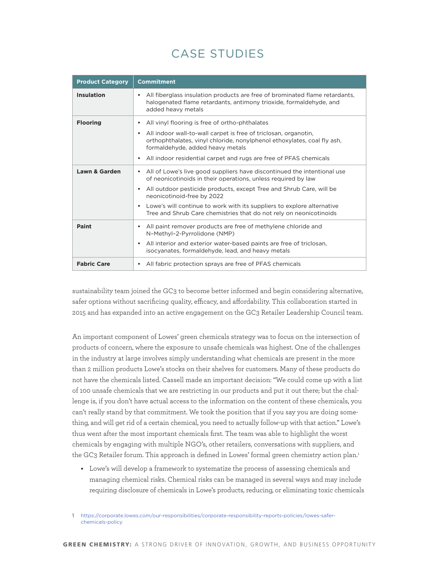# case studies

| <b>Product Category</b>  | <b>Commitment</b>                                                                                                                                                                                                                                                                                                                                                                                                    |
|--------------------------|----------------------------------------------------------------------------------------------------------------------------------------------------------------------------------------------------------------------------------------------------------------------------------------------------------------------------------------------------------------------------------------------------------------------|
| <b>Insulation</b>        | All fiberglass insulation products are free of brominated flame retardants,<br>halogenated flame retardants, antimony trioxide, formaldehyde, and<br>added heavy metals                                                                                                                                                                                                                                              |
| <b>Flooring</b>          | All vinyl flooring is free of ortho-phthalates<br>All indoor wall-to-wall carpet is free of triclosan, organotin,<br>$\bullet$<br>orthophthalates, vinyl chloride, nonylphenol ethoxylates, coal fly ash,<br>formaldehyde, added heavy metals<br>All indoor residential carpet and rugs are free of PFAS chemicals<br>٠                                                                                              |
| <b>Lawn &amp; Garden</b> | All of Lowe's live good suppliers have discontinued the intentional use<br>٠<br>of neonicotinoids in their operations, unless required by law<br>All outdoor pesticide products, except Tree and Shrub Care, will be<br>$\bullet$<br>neonicotinoid-free by 2022<br>Lowe's will continue to work with its suppliers to explore alternative<br>٠<br>Tree and Shrub Care chemistries that do not rely on neonicotinoids |
| <b>Paint</b>             | All paint remover products are free of methylene chloride and<br>٠<br>N-Methyl-2-Pyrrolidone (NMP)<br>All interior and exterior water-based paints are free of triclosan,<br>$\bullet$<br>isocyanates, formaldehyde, lead, and heavy metals                                                                                                                                                                          |
| <b>Fabric Care</b>       | All fabric protection sprays are free of PFAS chemicals<br>٠                                                                                                                                                                                                                                                                                                                                                         |

sustainability team joined the GC3 to become better informed and begin considering alternative, safer options without sacrificing quality, efficacy, and affordability. This collaboration started in 2015 and has expanded into an active engagement on the GC3 Retailer Leadership Council team.

An important component of Lowes' green chemicals strategy was to focus on the intersection of products of concern, where the exposure to unsafe chemicals was highest. One of the challenges in the industry at large involves simply understanding what chemicals are present in the more than 2 million products Lowe's stocks on their shelves for customers. Many of these products do not have the chemicals listed. Cassell made an important decision: "We could come up with a list of 100 unsafe chemicals that we are restricting in our products and put it out there; but the challenge is, if you don't have actual access to the information on the content of these chemicals, you can't really stand by that commitment. We took the position that if you say you are doing something, and will get rid of a certain chemical, you need to actually follow-up with that action." Lowe's thus went after the most important chemicals first. The team was able to highlight the worst chemicals by engaging with multiple NGO's, other retailers, conversations with suppliers, and the GC3 Retailer forum. This approach is defined in Lowes' formal green chemistry action plan.<sup>1</sup>

**•** Lowe's will develop a framework to systematize the process of assessing chemicals and managing chemical risks. Chemical risks can be managed in several ways and may include requiring disclosure of chemicals in Lowe's products, reducing, or eliminating toxic chemicals

1 [https://corporate.lowes.com/our-responsibilities/corporate-responsibility-reports-policies/lowes-safer](https://corporate.lowes.com/our-responsibilities/corporate-responsibility-reports-policies/lowes-safer-chemicals-policy)[chemicals-policy](https://corporate.lowes.com/our-responsibilities/corporate-responsibility-reports-policies/lowes-safer-chemicals-policy)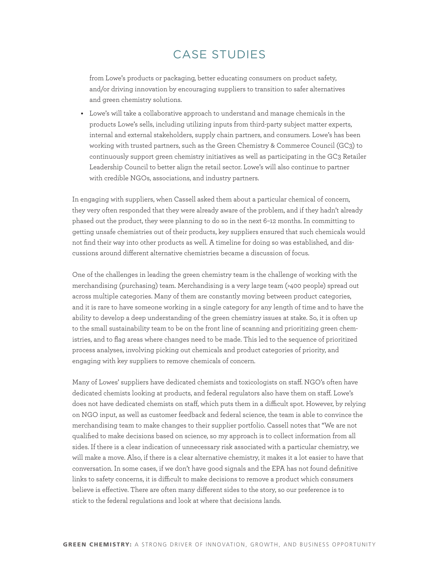## case studies

from Lowe's products or packaging, better educating consumers on product safety, and/or driving innovation by encouraging suppliers to transition to safer alternatives and green chemistry solutions.

**•**  Lowe's will take a collaborative approach to understand and manage chemicals in the products Lowe's sells, including utilizing inputs from third-party subject matter experts, internal and external stakeholders, supply chain partners, and consumers. Lowe's has been working with trusted partners, such as the Green Chemistry & Commerce Council (GC3) to continuously support green chemistry initiatives as well as participating in the GC3 Retailer Leadership Council to better align the retail sector. Lowe's will also continue to partner with credible NGOs, associations, and industry partners.

In engaging with suppliers, when Cassell asked them about a particular chemical of concern, they very often responded that they were already aware of the problem, and if they hadn't already phased out the product, they were planning to do so in the next 6–12 months. In committing to getting unsafe chemistries out of their products, key suppliers ensured that such chemicals would not find their way into other products as well. A timeline for doing so was established, and discussions around different alternative chemistries became a discussion of focus.

One of the challenges in leading the green chemistry team is the challenge of working with the merchandising (purchasing) team. Merchandising is a very large team (>400 people) spread out across multiple categories. Many of them are constantly moving between product categories, and it is rare to have someone working in a single category for any length of time and to have the ability to develop a deep understanding of the green chemistry issues at stake. So, it is often up to the small sustainability team to be on the front line of scanning and prioritizing green chemistries, and to flag areas where changes need to be made. This led to the sequence of prioritized process analyses, involving picking out chemicals and product categories of priority, and engaging with key suppliers to remove chemicals of concern.

Many of Lowes' suppliers have dedicated chemists and toxicologists on staff. NGO's often have dedicated chemists looking at products, and federal regulators also have them on staff. Lowe's does not have dedicated chemists on staff, which puts them in a difficult spot. However, by relying on NGO input, as well as customer feedback and federal science, the team is able to convince the merchandising team to make changes to their supplier portfolio. Cassell notes that "We are not qualified to make decisions based on science, so my approach is to collect information from all sides. If there is a clear indication of unnecessary risk associated with a particular chemistry, we will make a move. Also, if there is a clear alternative chemistry, it makes it a lot easier to have that conversation. In some cases, if we don't have good signals and the EPA has not found definitive links to safety concerns, it is difficult to make decisions to remove a product which consumers believe is effective. There are often many different sides to the story, so our preference is to stick to the federal regulations and look at where that decisions lands.